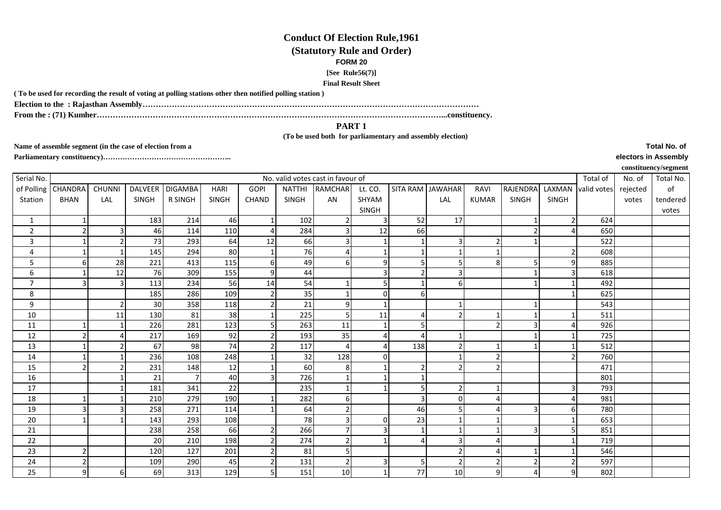## **Conduct Of Election Rule,1961(Statutory Rule and Order)FORM 20 [See Rule56(7)]Final Result Sheet**

**( To be used for recording the result of voting at polling stations other then notified polling station )**

**Election to the : Rajasthan Assembly………………………………………………………………………………………………………………**

**From the : (71) Kumher…………………………………………………………………………………………………………………...constituency.**

**PART 1 (To be used both for parliamentary and assembly election)** 

**Name of assemble segment (in the case of election from a** 

**Parliamentary constituency)……………………………………………..** 

|                |                                   |               |                |                |              |                  |               |                |              |                  |          |                |                 |        |             |          | $\cdot$ $\cdot$ $\cdot$ $\cdot$ $\cdot$ $\cdot$ |
|----------------|-----------------------------------|---------------|----------------|----------------|--------------|------------------|---------------|----------------|--------------|------------------|----------|----------------|-----------------|--------|-------------|----------|-------------------------------------------------|
| Serial No.     | No. valid votes cast in favour of |               |                |                |              |                  |               |                |              |                  |          |                |                 |        | Total of    | No. of   | Total No.                                       |
| of Polling     | <b>CHANDRA</b>                    | <b>CHUNNI</b> | <b>DALVEER</b> | <b>DIGAMBA</b> | HARI         | <b>GOPI</b>      | <b>NATTHI</b> | <b>RAMCHAR</b> | Lt. CO.      | SITA RAM JAWAHAR |          | RAVI           | <b>RAJENDRA</b> | LAXMAN | valid votes | rejected | of                                              |
| Station        | <b>BHAN</b>                       | LAL           | SINGH          | R SINGH        | <b>SINGH</b> | <b>CHAND</b>     | <b>SINGH</b>  | AN             | SHYAM        |                  | LAL      | <b>KUMAR</b>   | <b>SINGH</b>    | SINGH  |             | votes    | tendered                                        |
|                |                                   |               |                |                |              |                  |               |                | <b>SINGH</b> |                  |          |                |                 |        |             |          | votes                                           |
| $\mathbf{1}$   |                                   |               | 183            | 214            | 46           |                  | 102           |                | 3            | 52               | 17       |                |                 |        | 624         |          |                                                 |
| $\overline{2}$ | $\overline{2}$                    |               | 46             | 114            | 110          | $\overline{4}$   | 284           |                | 12           | 66               |          |                |                 |        | 650         |          |                                                 |
| 3              |                                   |               | 73             | 293            | 64           | 12               | 66            |                |              |                  |          | $\overline{2}$ |                 |        | 522         |          |                                                 |
| $\overline{4}$ |                                   |               | 145            | 294            | 80           |                  | 76            |                |              |                  |          |                |                 |        | 608         |          |                                                 |
| 5              | 6                                 | 28            | 221            | 413            | 115          | $6 \overline{6}$ | 49            | 61             | 9            | 5                |          | 8 <sup>1</sup> |                 | 9      | 885         |          |                                                 |
| 6              |                                   | 12            | 76             | 309            | 155          | 9                | 44            |                |              | $\mathfrak{p}$   |          |                |                 |        | 618         |          |                                                 |
| $\overline{7}$ |                                   | $\mathbf{a}$  | 113            | 234            | 56           | 14               | 54            |                |              |                  |          |                |                 |        | 492         |          |                                                 |
| $\bf 8$        |                                   |               | 185            | 286            | 109          | $\overline{2}$   | 35            |                | 0            | 6                |          |                |                 |        | 625         |          |                                                 |
| 9              |                                   | 2             | 30             | 358            | 118          | $\overline{2}$   | 21            | <sup>9</sup>   |              |                  |          |                |                 |        | 543         |          |                                                 |
| 10             |                                   | 11            | 130            | 81             | 38           |                  | 225           |                | 11           | $\Delta$         |          |                |                 |        | 511         |          |                                                 |
| 11             |                                   |               | 226            | 281            | 123          | 5                | 263           | 11             |              |                  |          | $\overline{2}$ |                 |        | 926         |          |                                                 |
| 12             |                                   |               | 217            | 169            | 92           | $\overline{2}$   | 193           | 35             |              | $\Delta$         |          |                |                 |        | 725         |          |                                                 |
| 13             |                                   |               | 67             | 98             | 74           | $\overline{2}$   | 117           | $\Delta$       |              | 138              |          |                |                 |        | 512         |          |                                                 |
| 14             |                                   |               | 236            | 108            | 248          |                  | 32            | 128            |              |                  |          | $\overline{2}$ |                 |        | 760         |          |                                                 |
| 15             | 2                                 |               | 231            | 148            | 12           |                  | 60            | 8              |              | $\overline{2}$   |          | $\overline{2}$ |                 |        | 471         |          |                                                 |
| 16             |                                   |               | 21             | $\overline{7}$ | 40           | 3                | 726           |                |              |                  |          |                |                 |        | 801         |          |                                                 |
| 17             |                                   |               | 181            | 341            | 22           |                  | 235           |                |              | 5                |          |                |                 |        | 793         |          |                                                 |
| 18             |                                   |               | 210            | 279            | 190          |                  | 282           | 61             |              | 3                | $\Omega$ |                |                 |        | 981         |          |                                                 |
| 19             |                                   |               | 258            | 271            | 114          |                  | 64            |                |              | 46               |          |                |                 | 6      | 780         |          |                                                 |
| 20             |                                   |               | 143            | 293            | 108          |                  | 78            | $\overline{3}$ | O            | 23               |          |                |                 |        | 653         |          |                                                 |
| 21             |                                   |               | 238            | 258            | 66           | $\overline{2}$   | 266           |                |              |                  |          |                | 3               |        | 851         |          |                                                 |
| 22             |                                   |               | 20             | 210            | 198          | $\overline{2}$   | 274           |                |              |                  |          |                |                 |        | 719         |          |                                                 |
| 23             | 2                                 |               | 120            | 127            | 201          | $\overline{2}$   | 81            |                |              |                  |          | 4              |                 |        | 546         |          |                                                 |
| 24             | 2                                 |               | 109            | 290            | 45           | $\overline{2}$   | 131           | <sup>2</sup>   |              | 5 <sup>1</sup>   |          | $\overline{2}$ | 2               |        | 597         |          |                                                 |
| 25             |                                   | 6             | 69             | 313            | 129          | 5                | 151           | 10             |              | 77               | 10       | $\overline{9}$ |                 |        | 802         |          |                                                 |
|                |                                   |               |                |                |              |                  |               |                |              |                  |          |                |                 |        |             |          |                                                 |

**Total No. of electors in Assembly**

**constituency/segment**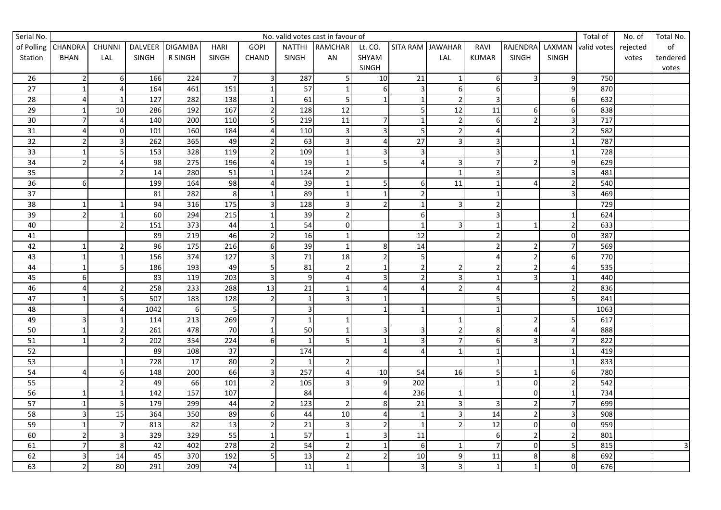| Serial No.      | No. valid votes cast in favour of |                         |                |                  |                 |                  |                 |                |                         |                         |                  |                         |                         | Total of       | No. of      | Total No. |                |
|-----------------|-----------------------------------|-------------------------|----------------|------------------|-----------------|------------------|-----------------|----------------|-------------------------|-------------------------|------------------|-------------------------|-------------------------|----------------|-------------|-----------|----------------|
|                 | of Polling CHANDRA                | <b>CHUNNI</b>           | <b>DALVEER</b> | <b>DIGAMBA</b>   | <b>HARI</b>     | <b>GOPI</b>      |                 | NATTHI RAMCHAR | Lt. CO.                 |                         | SITA RAM JAWAHAR | RAVI                    | <b>RAJENDRA</b>         | LAXMAN         | valid votes | rejected  | of             |
| Station         | <b>BHAN</b>                       | LAL                     | SINGH          | R SINGH          | SINGH           | CHAND            | SINGH           | AN             | SHYAM                   |                         | LAL              | KUMAR                   | SINGH                   | SINGH          |             | votes     | tendered       |
|                 |                                   |                         |                |                  |                 |                  |                 |                | SINGH                   |                         |                  |                         |                         |                |             |           | votes          |
| 26              | $\mathbf{2}$                      | $6 \mid$                | 166            | 224              | $\overline{7}$  | $\overline{3}$   | 287             | 5              | 10                      | 21                      | 1                | $\boldsymbol{6}$        | $\overline{3}$          | 9              | 750         |           |                |
| $\overline{27}$ |                                   | 4                       | 164            | 461              | 151             | $\mathbf{1}$     | 57              | $\mathbf{1}$   | $6 \mid$                | $\overline{\mathbf{3}}$ | $6 \mid$         | $\boldsymbol{6}$        |                         |                | 870         |           |                |
| 28              | $\overline{4}$                    | $\mathbf{1}$            | 127            | 282              | 138             | $\mathbf{1}$     | 61              | 5              | $\mathbf 1$             | $\mathbf{1}$            | $\overline{2}$   | 3                       |                         | 6              | 632         |           |                |
| 29              |                                   | 10                      | 286            | 192              | 167             | $\overline{2}$   | 128             | 12             |                         | 5 <sub>l</sub>          | 12               | 11                      | 6                       | 6              | 838         |           |                |
| 30              | $\overline{7}$                    | 4                       | 140            | 200              | 110             | 5                | 219             | 11             | $\overline{7}$          | $\mathbf 1$             | $\overline{2}$   | 6                       |                         |                | 717         |           |                |
| 31              | $\overline{4}$                    | 0                       | 101            | 160              | 184             | $\overline{4}$   | 110             | $\overline{3}$ | $\overline{3}$          | $\overline{5}$          | $\overline{2}$   | 4                       |                         |                | 582         |           |                |
| 32              | $\overline{2}$                    | 3                       | 262            | 365              | 49              | $\overline{2}$   | 63              | 3              | $\Delta$                | $\overline{27}$         | 31               | $\overline{3}$          |                         |                | 787         |           |                |
| 33              |                                   | 5                       | 153            | 328              | 119             | $\overline{2}$   | 109             |                | 3                       | $\overline{\mathbf{3}}$ |                  | 3                       |                         |                | 728         |           |                |
| 34              | $\overline{2}$                    | $\overline{4}$          | 98             | $\overline{275}$ | 196             | $\overline{4}$   | 19              |                | 5                       | $\overline{4}$          | $\overline{3}$   | $\overline{7}$          | $\overline{2}$          | 9              | 629         |           |                |
| 35              |                                   | $\mathbf 2$             | 14             | 280              | 51              | $\mathbf{1}$     | 124             | $\mathbf{2}$   |                         |                         | $1\overline{)}$  | $\mathsf 3$             |                         | 3              | 481         |           |                |
| $\overline{36}$ | $6 \mid$                          |                         | 199            | 164              | 98              | $\overline{4}$   | 39              | $\mathbf{1}$   | 5 <sup>1</sup>          | 61                      | 11               | $\overline{1}$          | Δ                       |                | 540         |           |                |
| 37              |                                   |                         | 81             | 282              | 8               | $\mathbf{1}$     | 89              | $\mathbf{1}$   | $\mathbf{1}$            | $\overline{2}$          |                  | $\mathbf{1}$            |                         |                | 469         |           |                |
| 38              | 1                                 |                         | 94             | 316              | 175             | $\overline{3}$   | 128             | 3              | $\overline{2}$          | $\mathbf{1}$            | $\overline{3}$   | $\mathbf 2$             |                         |                | 729         |           |                |
| 39              | $\mathbf{2}$                      | $\mathbf{1}$            | 60             | 294              | 215             | $\mathbf{1}$     | 39              | $\overline{a}$ |                         | 6                       |                  | 3                       |                         |                | 624         |           |                |
| 40              |                                   | $\overline{2}$          | 151            | $\overline{373}$ | 44              | $\mathbf{1}$     | 54              | $\Omega$       |                         | $\mathbf{1}$            | $\vert$ 3        | $\overline{1}$          |                         |                | 633         |           |                |
| 41              |                                   |                         | 89             | $\overline{219}$ | 46              | $\overline{2}$   | 16              | $\mathbf{1}$   |                         | $\overline{12}$         |                  | $\overline{2}$          |                         | ŋ              | 387         |           |                |
| 42              |                                   | $\mathfrak{p}$          | 96             | 175              | 216             | $\boldsymbol{6}$ | 39              | $\mathbf{1}$   | 8 <sup>1</sup>          | 14                      |                  | $\overline{2}$          | $\mathcal{I}$           |                | 569         |           |                |
| 43              |                                   |                         | 156            | 374              | 127             | 3                | 71              | 18             | $\overline{2}$          | 5                       |                  | $\overline{4}$          | $\overline{2}$          | 6              | 770         |           |                |
| 44              |                                   | 5                       | 186            | 193              | 49              | 5                | 81              | $\overline{2}$ | $\mathbf 1$             | 2 <sub>l</sub>          | $\overline{2}$   | $\mathbf 2$             | $\overline{2}$          |                | 535         |           |                |
| 45              | $6 \mid$                          |                         | 83             | 119              | 203             | $\overline{3}$   | $\mathsf{q}$    |                | $\overline{\mathbf{3}}$ | $\overline{2}$          | $\vert$ 3        | $\mathbf{1}$            | 3                       |                | 440         |           |                |
| 46              | $\overline{4}$                    | $\mathbf 2$             | 258            | 233              | 288             | $\overline{13}$  | 21              |                | $\overline{\mathbf{4}}$ |                         | $\overline{2}$   | $\overline{\mathbf{4}}$ |                         |                | 836         |           |                |
| 47              | 1                                 | 5                       | 507            | 183              | 128             | $\overline{2}$   | $\mathbf{1}$    | 3              | $\mathbf{1}$            |                         |                  | 5                       |                         |                | 841         |           |                |
| 48              |                                   | $\overline{\mathbf{4}}$ | 1042           | $6 \overline{6}$ | 5               |                  | 3               |                | $\mathbf 1$             | $\mathbf{1}$            |                  | $\mathbf{1}$            |                         |                | 1063        |           |                |
| 49              | 3                                 |                         | 114            | 213              | 269             | $\overline{7}$   |                 | $\mathbf{1}$   |                         |                         | $\mathbf{1}$     |                         | $\overline{\mathbf{c}}$ |                | 617         |           |                |
| 50              |                                   | $\overline{2}$          | 261            | 478              | $\overline{70}$ | $\mathbf{1}$     | 50              | $\mathbf{1}$   | $\overline{3}$          | $\overline{3}$          | $\overline{2}$   | 8                       | $\Lambda$               |                | 888         |           |                |
| 51              | 1                                 | $\overline{2}$          | 202            | 354              | 224             | 6                |                 | 5 <sub>l</sub> | $\mathbf 1$             | $\overline{3}$          | $\overline{7}$   | 6                       | 3                       |                | 822         |           |                |
| 52              |                                   |                         | 89             | 108              | 37              |                  | 174             |                | $\overline{4}$          | $\overline{4}$          | $\mathbf 1$      | $\mathbf{1}$            |                         |                | 419         |           |                |
| 53              |                                   |                         | 728            | $\overline{17}$  | 80              | $\overline{2}$   | $\mathbf{1}$    | $\overline{2}$ |                         |                         |                  | $\mathbf{1}$            |                         |                | 833         |           |                |
| 54              | Λ                                 | 6                       | 148            | 200              | 66              | $\overline{3}$   | 257             | 4              | 10                      | 54                      | 16               | 5                       |                         | հ              | 780         |           |                |
| 55              |                                   | $\mathbf 2$             | 49             | 66               | 101             | $\overline{2}$   | 105             | $\overline{3}$ | $\overline{9}$          | 202                     |                  | $\mathbf{1}$            | $\Omega$                |                | 542         |           |                |
| 56              |                                   |                         | 142            | 157              | 107             |                  | 84              |                | $\sqrt{4}$              | 236                     | $\mathbf{1}$     |                         | $\mathbf 0$             |                | 734         |           |                |
| 57              | 1                                 | 5                       | 179            | 299              | 44              | $\overline{2}$   | 123             | $\overline{2}$ | 8                       | 21                      | $\overline{3}$   | $\mathsf 3$             | $\overline{2}$          |                | 699         |           |                |
| 58              | 3                                 | 15                      | 364            | 350              | 89              | 6                | 44              | 10             | $\overline{a}$          | $\mathbf{1}$            | $\overline{3}$   | 14                      | $\overline{2}$          |                | 908         |           |                |
| 59              | $\mathbf{1}$                      | $\overline{7}$          | 813            | 82               | 13              | $\overline{2}$   | 21              | 3              | $\overline{2}$          | $\overline{1}$          | $\overline{2}$   | 12                      | $\mathbf 0$             | $\Omega$       | 959         |           |                |
| 60              | $\mathbf{z}$                      | $\overline{\mathbf{3}}$ | 329            | 329              | 55              | $\overline{1}$   | 57              |                | $\overline{3}$          | 11                      |                  | $\boldsymbol{6}$        | $\overline{2}$          |                | 801         |           |                |
| 61              | $\overline{7}$                    | 8                       | 42             | 402              | 278             | $\overline{2}$   | 54              | $\overline{2}$ | $\mathbf 1$             | 6                       | $\mathbf{1}$     | $\overline{7}$          | $\mathbf 0$             | 5              | 815         |           | $\overline{3}$ |
| 62              | 3                                 | 14                      | 45             | 370              | 192             | 5                | $\overline{13}$ | $\overline{2}$ | $\overline{2}$          | 10                      | $\overline{9}$   | $\overline{11}$         | 8                       | 8              | 692         |           |                |
| 63              | $\mathbf{2}$                      | 80                      | 291            | 209              | 74              |                  | 11              | $\mathbf{1}$   |                         | $\overline{\mathbf{3}}$ | $\mathsf{a}$     | $\mathbf{1}$            | $\mathbf{1}$            | $\overline{0}$ | 676         |           |                |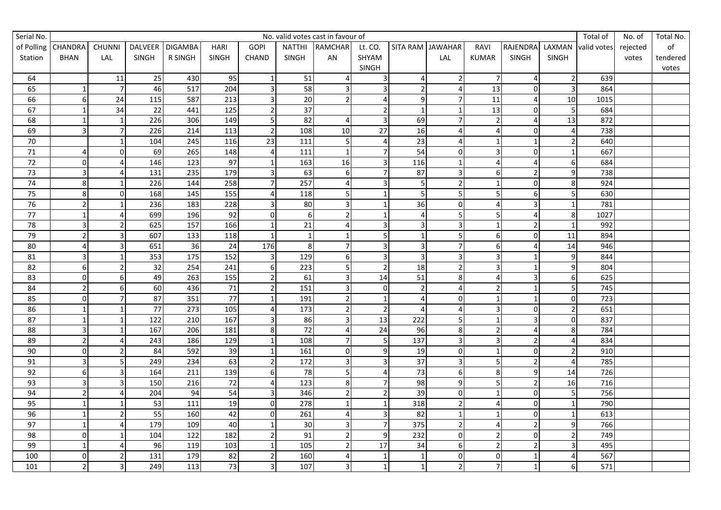| Serial No.      | No. valid votes cast in favour of |                         |                  |                  |                 |                         |                 |                |                         |                 |                         |                          | Total of       | No. of       | Total No.   |          |          |
|-----------------|-----------------------------------|-------------------------|------------------|------------------|-----------------|-------------------------|-----------------|----------------|-------------------------|-----------------|-------------------------|--------------------------|----------------|--------------|-------------|----------|----------|
| of Polling      | CHANDRA                           | <b>CHUNNI</b>           | <b>DALVEER</b>   | <b>DIGAMBA</b>   | <b>HARI</b>     | <b>GOPI</b>             | <b>NATTHI</b>   | <b>RAMCHAR</b> | Lt. CO.                 |                 | SITA RAM JAWAHAR        | RAVI                     | RAJENDRA       | LAXMAN       | valid votes | rejected | of       |
| Station         | <b>BHAN</b>                       | LAL                     | SINGH            | R SINGH          | SINGH           | <b>CHAND</b>            | SINGH           | AN             | SHYAM                   |                 | LAL                     | <b>KUMAR</b>             | SINGH          | <b>SINGH</b> |             | votes    | tendered |
|                 |                                   |                         |                  |                  |                 |                         |                 |                | SINGH                   |                 |                         |                          |                |              |             |          | votes    |
| 64              |                                   | 11                      | 25               | 430              | 95              | $\mathbf{1}$            | 51              |                | $\mathbf{3}$            | $\overline{a}$  | $\overline{2}$          | $\overline{7}$           | $\overline{4}$ |              | 639         |          |          |
| 65              |                                   | $\overline{7}$          | 46               | $\overline{517}$ | 204             | $\overline{\mathbf{3}}$ | 58              | $\overline{3}$ | $\overline{3}$          | $\overline{2}$  | $\overline{4}$          | $\overline{13}$          | $\Omega$       |              | 864         |          |          |
| 66              | 6                                 | 24                      | 115              | 587              | 213             | $\overline{\mathbf{3}}$ | 20              | $\overline{2}$ | $\overline{4}$          | $\overline{9}$  | $\overline{7}$          | 11                       | Δ              | 10           | 1015        |          |          |
| 67              |                                   | 34                      | 22               | 441              | 125             | $\overline{2}$          | 37              |                | $\overline{2}$          | $\mathbf{1}$    | $\mathbf{1}$            | 13                       | $\Omega$       |              | 684         |          |          |
| 68              |                                   | $\mathbf{1}$            | 226              | 306              | 149             | 5                       | 82              |                | $\overline{\mathbf{3}}$ | 69              | $\overline{7}$          | $\overline{2}$           | $\Delta$       | 13           | 872         |          |          |
| 69              | ς                                 | $\overline{7}$          | 226              | 214              | 113             | $\overline{2}$          | 108             | 10             | $\overline{27}$         | 16              | $\overline{4}$          | $\overline{\mathbf{4}}$  | $\mathbf 0$    |              | 738         |          |          |
| 70              |                                   |                         | 104              | 245              | 116             | $\overline{23}$         | 111             | 5 <sup>1</sup> | 4                       | $\overline{23}$ | $\overline{4}$          | $\mathbf{1}$             |                |              | 640         |          |          |
| $\overline{71}$ | $\overline{4}$                    | $\pmb{0}$               | 69               | 265              | 148             | $\overline{4}$          | 111             |                | $\overline{7}$          | 54              | $\mathbf{0}$            | 3                        | $\mathbf 0$    |              | 667         |          |          |
| 72              | $\Omega$                          | $\overline{4}$          | 146              | 123              | $\overline{97}$ | $\mathbf{1}$            | 163             | 16             | $\overline{3}$          | 116             | $\mathbf{1}$            | 4                        | $\Delta$       | 6            | 684         |          |          |
| $\overline{73}$ | $\overline{\mathbf{3}}$           | $\overline{\mathbf{4}}$ | 131              | 235              | 179             | $\overline{3}$          | 63              | $6 \mid$       | $\overline{7}$          | 87              | $\overline{3}$          | $\boldsymbol{6}$         | $\overline{2}$ | $\mathbf{q}$ | 738         |          |          |
| 74              | 8 <sup>1</sup>                    | $\mathbf{1}$            | 226              | 144              | 258             | $\overline{7}$          | 257             | 4              | $\overline{3}$          | 5               | $\overline{2}$          | $\mathbf 1$              | $\mathbf 0$    | 8            | 924         |          |          |
| 75              | 8 <sup>1</sup>                    | $\mathbf 0$             | 168              | 145              | 155             | $\overline{4}$          | 118             | $\overline{5}$ | $\mathbf{1}$            | 5               | 5 <sup>1</sup>          | 5                        | 6              |              | 630         |          |          |
| 76              | $\overline{2}$                    | $\mathbf{1}$            | 236              | 183              | 228             | $\overline{3}$          | 80              | 3              | $\mathbf{1}$            | 36              | $\overline{0}$          | 4                        | $\overline{3}$ |              | 781         |          |          |
| 77              | $\mathbf{1}$                      | $\overline{4}$          | 699              | 196              | 92              | $\mathbf 0$             | 6               | $\overline{2}$ | $\mathbf{1}$            | $\overline{4}$  | 5 <sub>l</sub>          | 5                        | $\Delta$       | 8            | 1027        |          |          |
| 78              | 3                                 | $\overline{a}$          | 625              | 157              | 166             | $\mathbf{1}$            | 21              | 4              | $\overline{\mathbf{3}}$ | $\overline{3}$  | $\overline{3}$          | $\overline{1}$           | $\overline{2}$ |              | 992         |          |          |
| 79              | $\overline{2}$                    | $\overline{3}$          | 607              | 133              | 118             | $\mathbf{1}$            | $\mathbf{1}$    |                | 5                       | $\mathbf{1}$    | 5 <sub>l</sub>          | 6                        | $\Omega$       | 11           | 894         |          |          |
| $80\,$          | $\overline{a}$                    | 3                       | 651              | 36               | 24              | 176                     | 8               | 7 <sup>1</sup> | $\overline{\mathbf{3}}$ | $\overline{3}$  | $\overline{7}$          | $\boldsymbol{6}$         | $\Delta$       | 14           | 946         |          |          |
| 81              | ς                                 |                         | 353              | 175              | 152             | $\overline{\mathbf{3}}$ | 129             | 6              | 3                       | $\overline{3}$  | $\overline{\mathbf{3}}$ | 3                        |                | q            | 844         |          |          |
| 82              | $6 \overline{6}$                  | $\overline{2}$          | $\overline{32}$  | 254              | 241             | $6\phantom{1}6$         | 223             | $\mathsf{S}$   | $\overline{2}$          | 18              | $\overline{2}$          | $\overline{3}$           |                | q            | 804         |          |          |
| 83              | $\Omega$                          | $\,$ 6 $\,$             | 49               | 263              | 155             | $\overline{2}$          | 61              | $\overline{3}$ | $\overline{14}$         | 51              | 8 <sup>1</sup>          | 4                        | $\overline{3}$ | 6            | 625         |          |          |
| 84              | $\overline{2}$                    | $\boldsymbol{6}$        | 60               | 436              | $\overline{71}$ | $\overline{2}$          | 151             | $\overline{3}$ | $\pmb{0}$               | $\overline{2}$  | $\overline{4}$          | $\mathbf 2$              |                |              | 745         |          |          |
| 85              | $\Omega$                          | $\overline{7}$          | 87               | 351              | $\overline{77}$ | $\mathbf{1}$            | 191             | $\overline{2}$ | $\mathbf{1}$            | 4               | $\overline{0}$          | $\mathbf 1$              | $\mathbf{1}$   | $\Omega$     | 723         |          |          |
| 86              |                                   | $\mathbf{1}$            | $\overline{77}$  | 273              | 105             | $\overline{4}$          | 173             | $\overline{2}$ | $\overline{2}$          | $\overline{4}$  | $\overline{4}$          | $\mathsf 3$              | $\pmb{0}$      |              | 651         |          |          |
| 87              | $\mathbf{1}$                      | $\mathbf{1}$            | $\overline{122}$ | 210              | 167             | $\overline{\mathbf{3}}$ | 86              | 3              | $\overline{13}$         | 222             | 5 <sub>l</sub>          | $\mathbf 1$              | 3              | $\Omega$     | 837         |          |          |
| 88              | 3                                 | $\mathbf{1}$            | 167              | 206              | 181             | 8                       | $\overline{72}$ | 4              | $\overline{24}$         | 96              | 8 <sup>1</sup>          | $\mathbf 2$              | $\Delta$       | 8            | 784         |          |          |
| 89              | $\mathbf{2}$                      | $\overline{4}$          | 243              | 186              | 129             | $\mathbf{1}$            | 108             | $\overline{7}$ | 5                       | 137             | $\overline{3}$          | 3                        | $\overline{2}$ |              | 834         |          |          |
| 90              | $\overline{0}$                    | $\overline{a}$          | 84               | 592              | 39              | $\mathbf{1}$            | 161             | $\overline{0}$ | 9                       | 19              | $\overline{0}$          | $\mathbf{1}$             | $\mathbf 0$    |              | 910         |          |          |
| 91              | 3                                 | 5                       | 249              | 234              | 63              | $\overline{2}$          | $\frac{172}{2}$ | 3              | $\overline{\mathbf{3}}$ | 37              | $\overline{3}$          | 5                        | $\overline{2}$ |              | 785         |          |          |
| 92              | 61                                | 3                       | 164              | $\overline{211}$ | 139             | 6                       | 78              | 5              | 4                       | 73              | $6 \mid$                | 8                        | q              | 14           | 726         |          |          |
| 93              | R                                 | 3                       | 150              | 216              | $\overline{72}$ | $\overline{a}$          | 123             | 8              | $\overline{7}$          | 98              | $\overline{9}$          | 5                        | $\overline{2}$ | 16           | 716         |          |          |
| 94              | $\mathfrak{p}$                    | $\overline{4}$          | 204              | 94               | 54              | $\overline{\mathbf{3}}$ | 346             | $\overline{2}$ | $\overline{2}$          | 39              | $\overline{0}$          | $\mathbf{1}$             | $\mathbf 0$    |              | 756         |          |          |
| 95              |                                   | $\mathbf{1}$            | $\overline{53}$  | $\frac{111}{11}$ | 19              | $\mathbf 0$             | 278             |                | $\mathbf{1}$            | 318             | $\overline{2}$          | 4                        | $\mathbf 0$    |              | 790         |          |          |
| 96              |                                   | $\overline{2}$          | 55               | 160              | 42              | $\mathbf 0$             | 261             |                | 3                       | 82              | $\mathbf{1}$            | $\mathbf{1}$             | $\mathbf 0$    |              | 613         |          |          |
| 97              | 1                                 | $\overline{4}$          | 179              | 109              | 40              | $\mathbf{1}$            | 30              | $\overline{3}$ | $\overline{7}$          | 375             | 2 <sup>1</sup>          | 4                        | $\overline{2}$ | q            | 766         |          |          |
| 98              | $\Omega$                          | $\mathbf{1}$            | 104              | 122              | 182             | $\overline{2}$          | 91              | $\overline{2}$ | 9                       | 232             | $\overline{0}$          | $\mathbf 2$              | $\mathbf 0$    |              | 749         |          |          |
| 99              | $\mathbf{1}$                      | $\overline{4}$          | 96               | 119              | 103             | $\mathbf{1}$            | 105             | $\overline{2}$ | $\overline{17}$         | 34              | $\overline{6}$          | $\mathbf 2$              | $\overline{2}$ |              | 495         |          |          |
| 100             | $\mathbf{0}$                      | $\overline{a}$          | 131              | 179              | 82              | $\overline{2}$          | 160             |                | $\mathbf 1$             | $\mathbf 1$     | $\boldsymbol{0}$        | $\pmb{0}$                | $\overline{1}$ |              | 567         |          |          |
| 101             | $\mathbf{2}$                      | $\overline{3}$          | 249              | $\overline{113}$ | 73              | $\overline{\mathbf{3}}$ | 107             | 3              | $\mathbf 1$             | $\mathbf 1$     | $\overline{2}$          | $\overline{\mathcal{I}}$ | $\mathbf{1}$   | 6            | 571         |          |          |